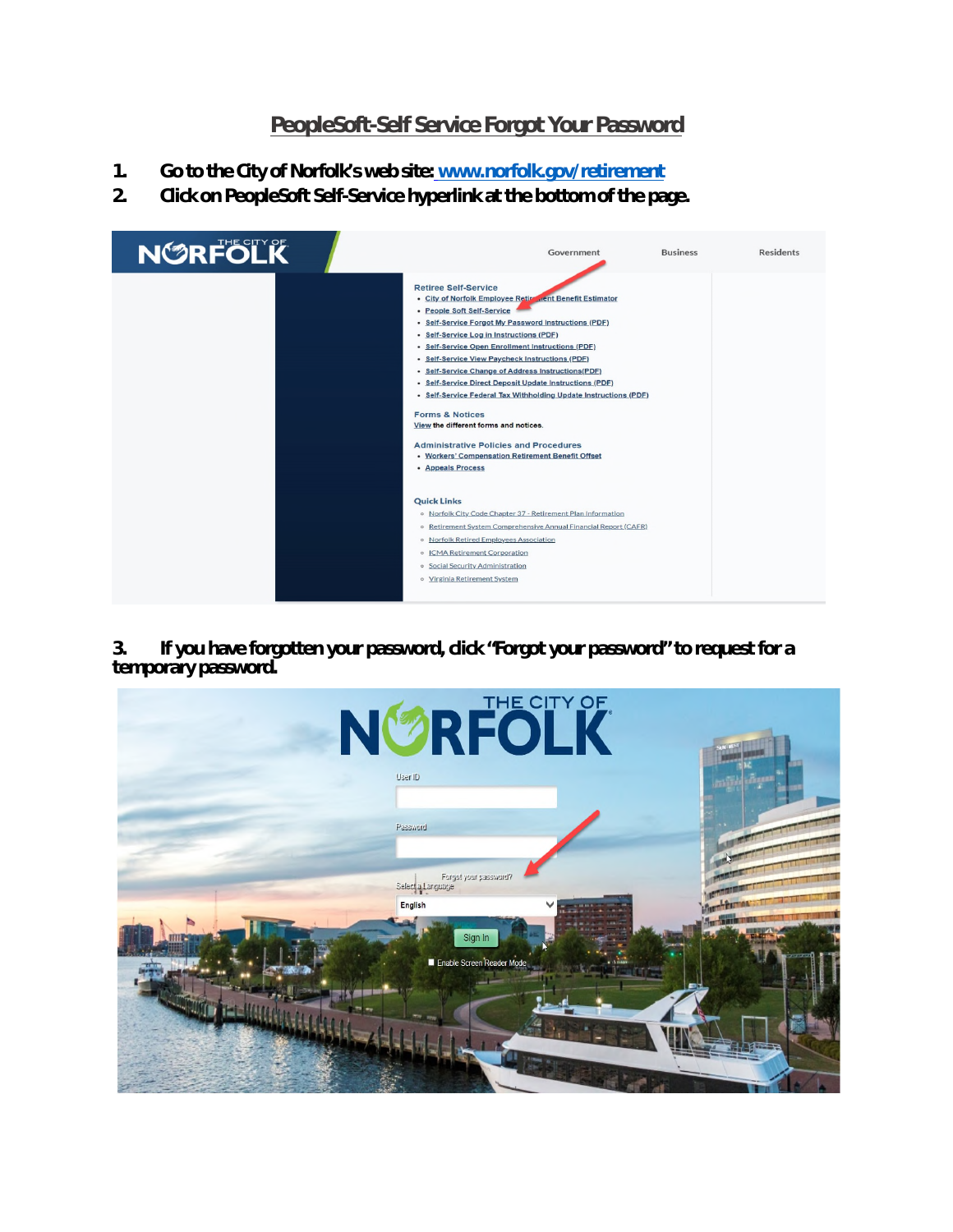## **PeopleSoft-Self Service Forgot Your Password**

- **1. Go to the City of Norfolk's web site: www.norfolk.gov/retirement**
- **2. Click on PeopleSoft Self-Service hyperlink at the bottom of the page.**



**3. If you have forgotten your password, click "Forgot your password" to request for a temporary password.** 

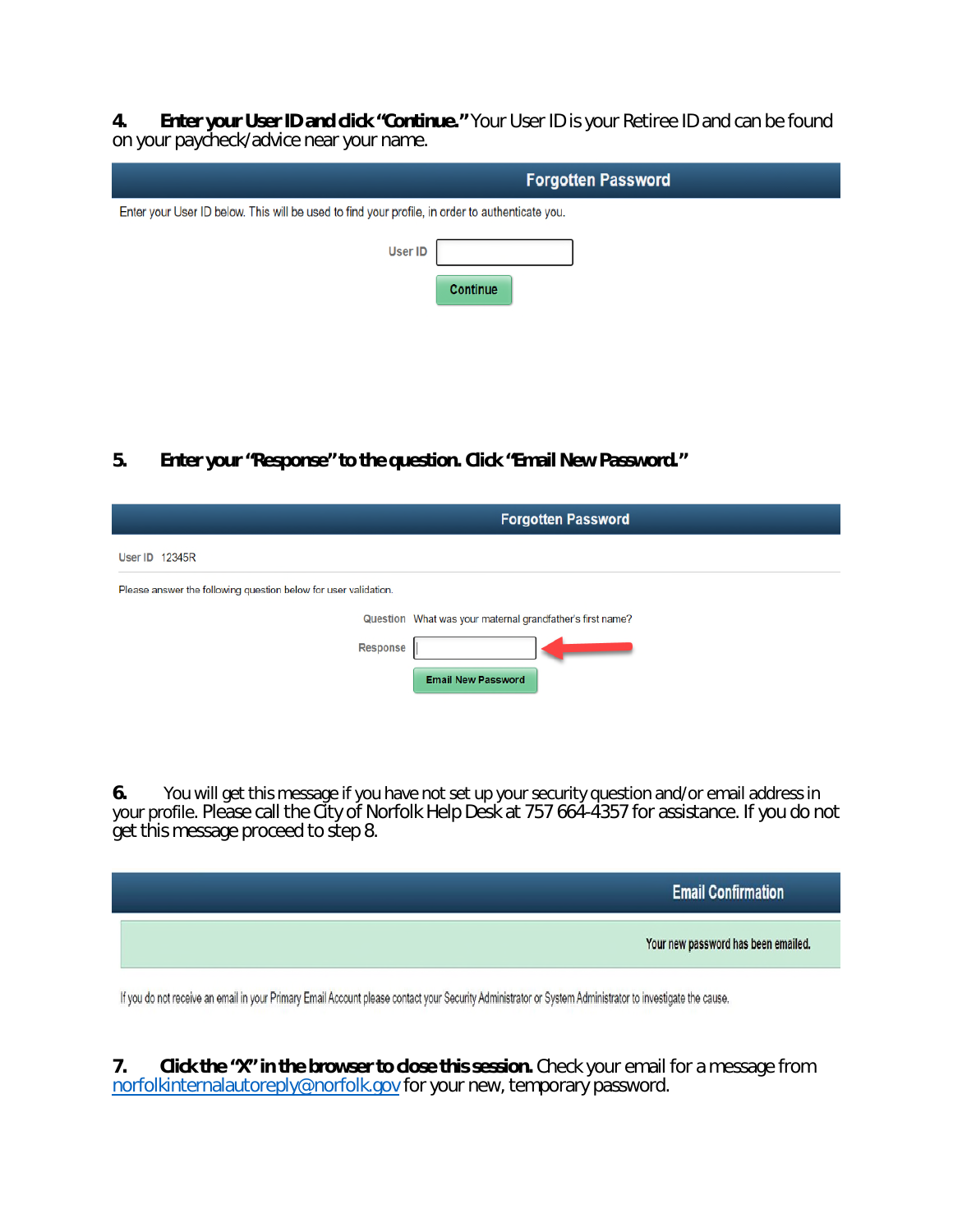**4. Enter your User ID and click "Continue."** Your User ID is your Retiree ID and can be found on your paycheck/advice near your name.

| <b>Forgotten Password</b>                                                                       |
|-------------------------------------------------------------------------------------------------|
| Enter your User ID below. This will be used to find your profile, in order to authenticate you. |
| <b>User ID</b>                                                                                  |
| Continue                                                                                        |
|                                                                                                 |
|                                                                                                 |

**5. Enter your "Response" to the question. Click "Email New Password."**

|                                                                 | <b>Forgotten Password</b>                                 |
|-----------------------------------------------------------------|-----------------------------------------------------------|
| <b>User ID 12345R</b>                                           |                                                           |
| Please answer the following question below for user validation. |                                                           |
|                                                                 | Question What was your maternal grandfather's first name? |
| <b>Response</b>                                                 |                                                           |
|                                                                 | <b>Email New Password</b>                                 |

**6.** You will get this message if you have not set up your security question and/or email address in your profile. Please call the City of Norfolk Help Desk at 757 664-4357 for assistance. If you do not get this message proceed to step 8.



If you do not receive an email in your Primary Email Account please contact your Security Administrator or System Administrator to investigate the cause.

**7. Click the "X" in the browser to close this session.** Check your email for a message from norfolkinternalautoreply@norfolk.gov for your new, temporary password.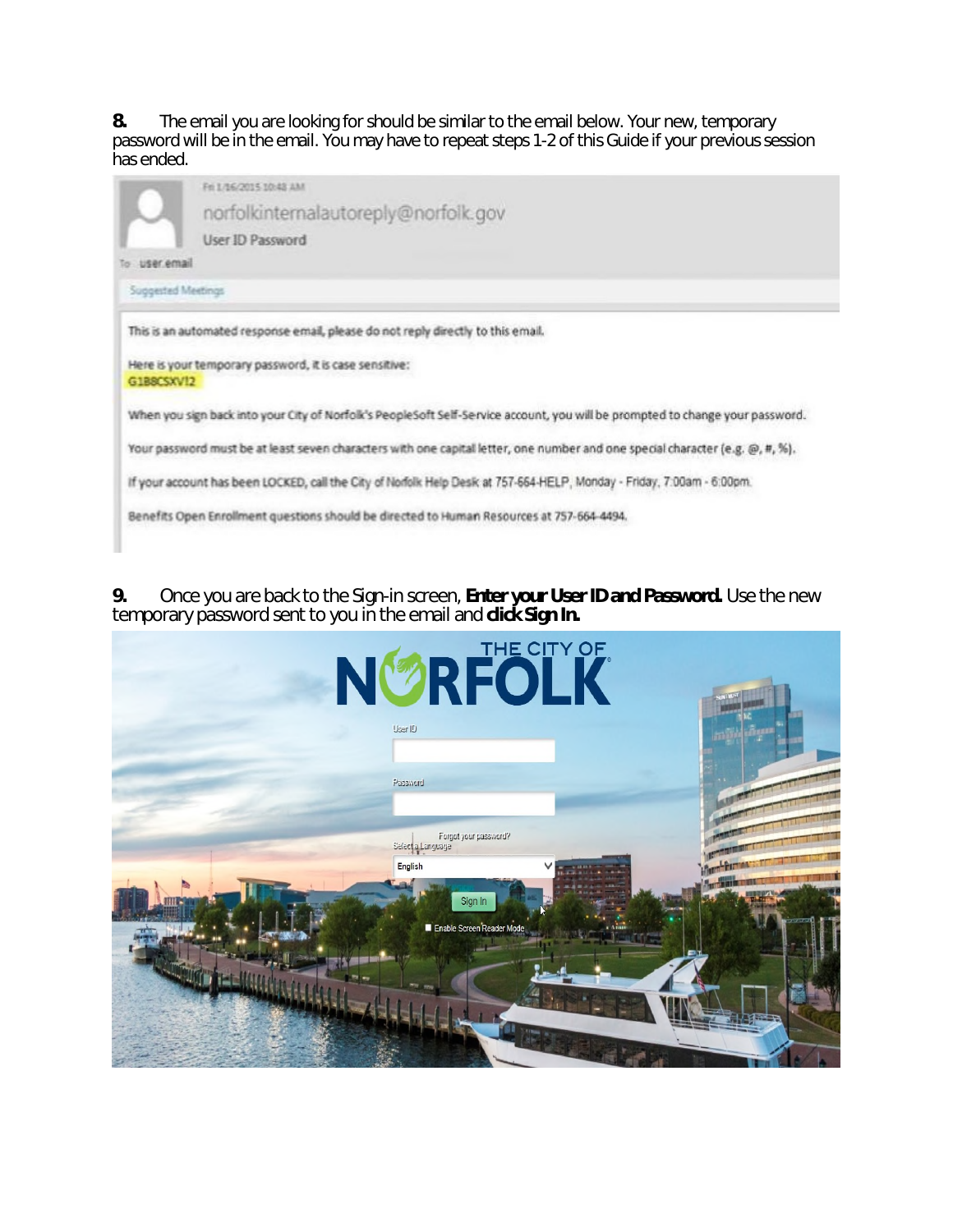**8.** The email you are looking for should be similar to the email below. Your new, temporary password will be in the email. You may have to repeat steps 1-2 of this Guide if your previous session has ended.

|                    | Fel 1/16/2015 10:48 AM                                                                                                        |
|--------------------|-------------------------------------------------------------------------------------------------------------------------------|
|                    | norfolkinternalautoreply@norfolk.gov                                                                                          |
|                    | User ID Password                                                                                                              |
| user email         |                                                                                                                               |
| Suggested Meetings |                                                                                                                               |
| G1BBCSXV12         | Here is your temporary password, it is case sensitive:                                                                        |
|                    | When you sign back into your City of Norfolk's PeopleSoft Self-Service account, you will be prompted to change your password. |
|                    | Your password must be at least seven characters with one capital letter, one number and one special character (e.g. @, #, %). |
|                    | If your account has been LOCKED, call the City of Norfolk Help Desk at 757-664-HELP, Monday - Friday, 7:00am - 6:00pm.        |

**9.** Once you are back to the Sign-in screen, **Enter your User ID and Password.** Use the new temporary password sent to you in the email and **click Sign In.**